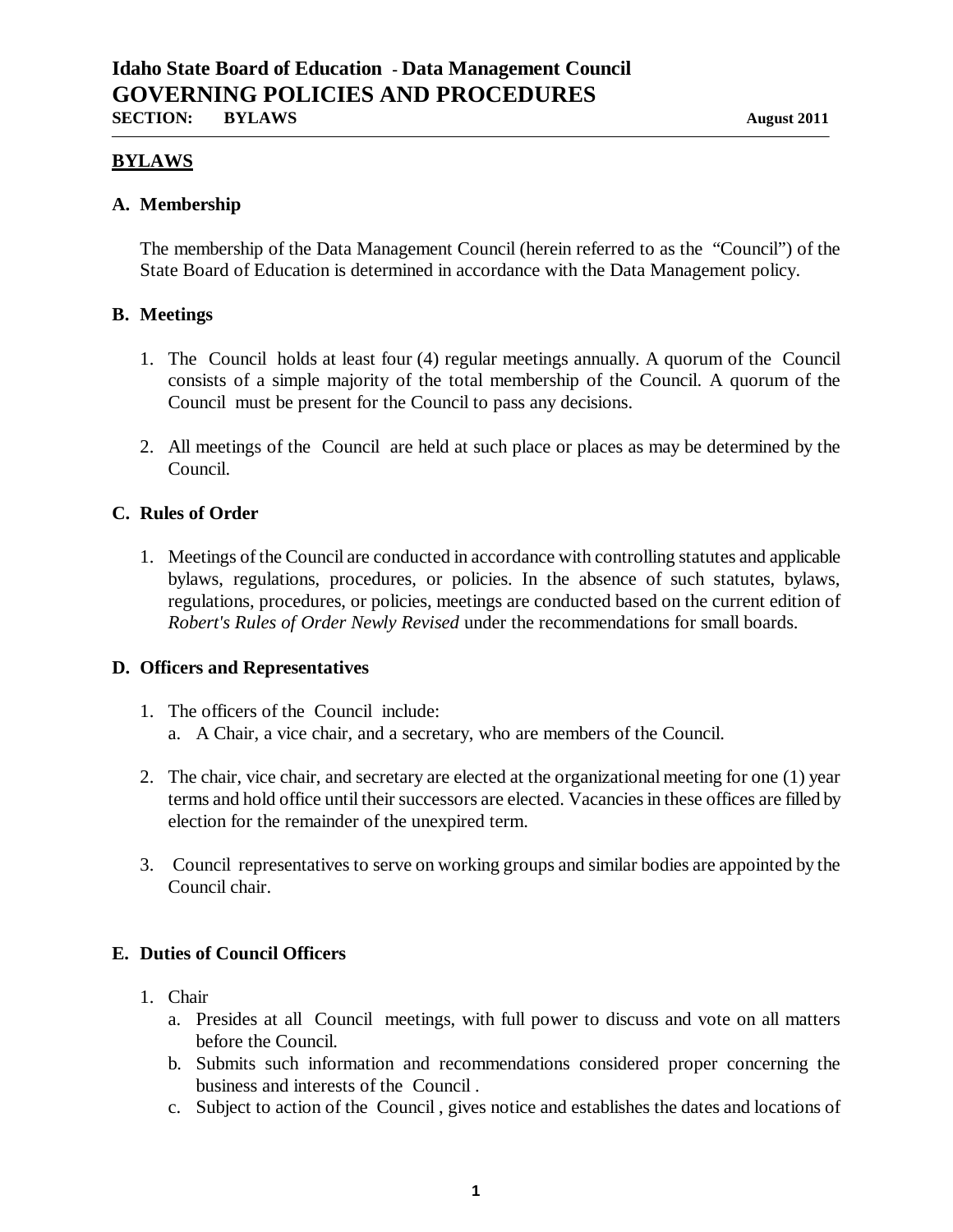## **BYLAWS**

#### **A. Membership**

The membership of the Data Management Council (herein referred to as the "Council") of the State Board of Education is determined in accordance with the Data Management policy.

#### **B. Meetings**

- 1. The Council holds at least four (4) regular meetings annually. A quorum of the Council consists of a simple majority of the total membership of the Council. A quorum of the Council must be present for the Council to pass any decisions.
- 2. All meetings of the Council are held at such place or places as may be determined by the Council.

### **C. Rules of Order**

1. Meetings of the Council are conducted in accordance with controlling statutes and applicable bylaws, regulations, procedures, or policies. In the absence of such statutes, bylaws, regulations, procedures, or policies, meetings are conducted based on the current edition of *Robert's Rules of Order Newly Revised* under the recommendations for small boards.

### **D. Officers and Representatives**

- 1. The officers of the Council include: a. A Chair, a vice chair, and a secretary, who are members of the Council.
- 2. The chair, vice chair, and secretary are elected at the organizational meeting for one (1) year terms and hold office until their successors are elected. Vacancies in these offices are filled by election for the remainder of the unexpired term.
- 3. Council representatives to serve on working groups and similar bodies are appointed by the Council chair.

# **E. Duties of Council Officers**

- 1. Chair
	- a. Presides at all Council meetings, with full power to discuss and vote on all matters before the Council.
	- b. Submits such information and recommendations considered proper concerning the business and interests of the Council .
	- c. Subject to action of the Council , gives notice and establishes the dates and locations of